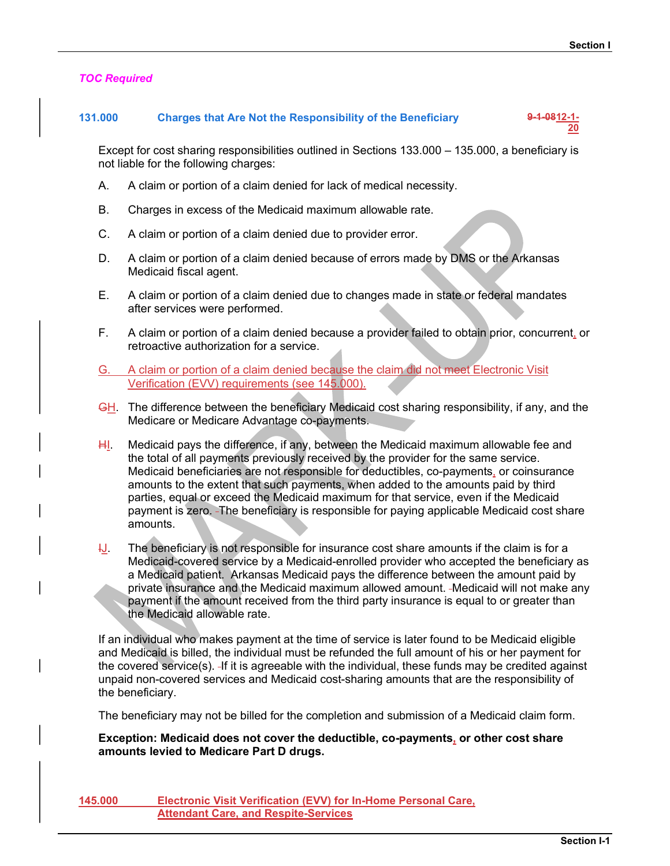**20** *<u>20</u>* 

### TOC Required

## 131.000 Charges that Are Not the Responsibility of the Beneficiary 9-1-0812-1-

Except for cost sharing responsibilities outlined in Sections 133.000 – 135.000, a beneficiary is not liable for the following charges:

- A. A claim or portion of a claim denied for lack of medical necessity.
- B. Charges in excess of the Medicaid maximum allowable rate.
- C. A claim or portion of a claim denied due to provider error.
- D. A claim or portion of a claim denied because of errors made by DMS or the Arkansas Medicaid fiscal agent.
- E. A claim or portion of a claim denied due to changes made in state or federal mandates after services were performed.
- F. A claim or portion of a claim denied because a provider failed to obtain prior, concurrent, or retroactive authorization for a service.
- G. A claim or portion of a claim denied because the claim did not meet Electronic Visit Verification (EVV) requirements (see 145.000).
- **GH.** The difference between the beneficiary Medicaid cost sharing responsibility, if any, and the Medicare or Medicare Advantage co-payments.
- $H<sub>1</sub>$ . Medicaid pays the difference, if any, between the Medicaid maximum allowable fee and the total of all payments previously received by the provider for the same service. Medicaid beneficiaries are not responsible for deductibles, co-payments, or coinsurance amounts to the extent that such payments, when added to the amounts paid by third parties, equal or exceed the Medicaid maximum for that service, even if the Medicaid payment is zero. The beneficiary is responsible for paying applicable Medicaid cost share amounts.
- $1J$ . The beneficiary is not responsible for insurance cost share amounts if the claim is for a Medicaid-covered service by a Medicaid-enrolled provider who accepted the beneficiary as a Medicaid patient. Arkansas Medicaid pays the difference between the amount paid by private insurance and the Medicaid maximum allowed amount. Medicaid will not make any payment if the amount received from the third party insurance is equal to or greater than the Medicaid allowable rate.

If an individual who makes payment at the time of service is later found to be Medicaid eligible and Medicaid is billed, the individual must be refunded the full amount of his or her payment for the covered service(s). If it is agreeable with the individual, these funds may be credited against unpaid non-covered services and Medicaid cost-sharing amounts that are the responsibility of the beneficiary.

The beneficiary may not be billed for the completion and submission of a Medicaid claim form.

Exception: Medicaid does not cover the deductible, co-payments, or other cost share amounts levied to Medicare Part D drugs.

145.000 Electronic Visit Verification (EVV) for In-Home Personal Care, Attendant Care, and Respite-Services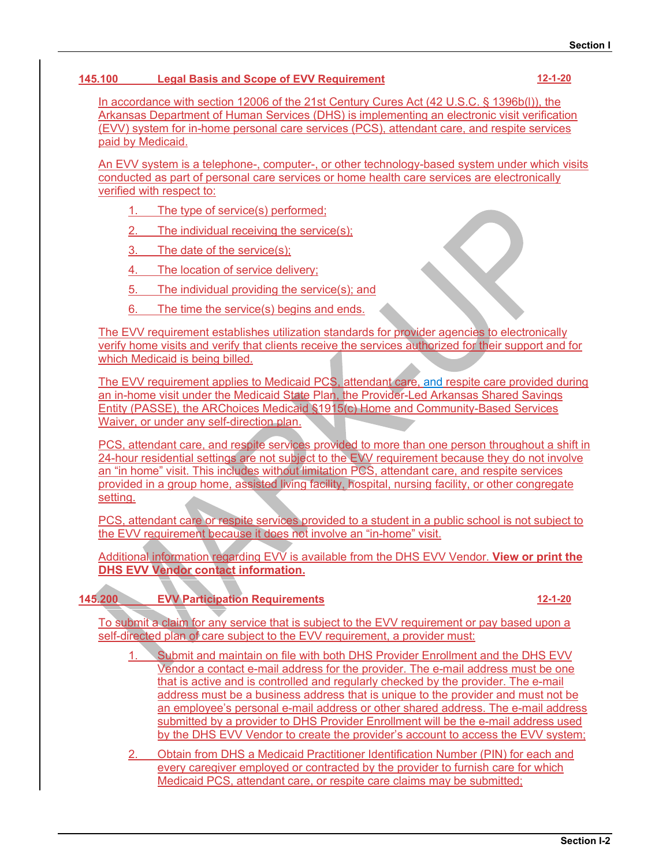## 145.100 Legal Basis and Scope of EVV Requirement 12-1-20

Section 1<br>
100 Legal Basis and Scope of EVV Requirement<br>
In accordance with section 12006 of the 21st Century Cures Act (42 U.S.C. § 1396b(l)), the<br>
Arkansas Department of Human Services (DHS) is implementing an electronic Arkansas Department of Human Services (DHS) is implementing an electronic visit verification Section 1<br>
100 Legal Basis and Scope of EVV Requirement<br>
In accordance with section 12006 of the 21st Century Cures Act (42 U.S.C. § 1396b(l)), the<br>
Arkansas Department of Human Services (DHS) is implementing an electronic paid by Medicaid. Section 1<br>
100 Legal Basis and Scope of EVV Requirement<br>
In accordance with section 12006 of the 21st Century Cures Act (42 U.S.C. § 1396b(l)), the<br>
Arkansas Department of Human Services (DHS) is implementing an electronic Legal Basis and Scope of EVV Requirement<br>
cordance with section 12006 of the 21st Century Cures Act (42 U.S.C. § 1396<br>
sas Department of Human Services (DHS) is implementing an electronic visi<br>
system for in-home personal

An EVV system is a telephone-, computer-, or other technology-based system under which visits verified with respect to:

- 
- 2. The individual receiving the service(s);
- 3. The date of the service(s);
- 4. The location of service delivery;
- 5. The individual providing the service(s); and
- 6. The time the service(s) begins and ends.

The EVV requirement establishes utilization standards for provider agencies to electronically verify home visits and verify that clients receive the services authorized for their support and for which Medicaid is being billed.

In accordance with section 12006 of the 21st Century Cures Act (42 U.S.C. § 1396b(l)), the<br>Arkansas Department of Human Services (DHS) is implementing an electronic visit verification<br>(EVV) system for in-home personal care Arkansas Department of Human Services (DHS) is implementing an electronic visit verification<br>
<u>GEVV) system is a telephone, computer, or other technology-based system under which visits<br>
paid by Medicaid,<br>
An EVV system is</u> Entity (PASSE), the ARChoices Medicaid §1915(c) Home and Community-Based Services Waiver, or under any self-direction plan.

An EVV system is a telephone, computer. or other technology-based system under which visits<br>verified with respect to:<br>
1. The type of service(s) performed:<br>
2. The individual receiving the service(s):<br>
3. The date of the s 24-hour residential settings are not subject to the EVV requirement because they do not involve an "in home" visit. This includes without limitation PCS, attendant care, and respite services 1. The type of service(s) performed;<br>
2. The individual receiving the service(s);<br>
4. The location of service delivery;<br>
4. The location of service delivery;<br>
5. The influidual providing the service(s); and<br>
6. The EVV req setting. 1. The incurrent establishes utilization shares are available from the DHS EVV requirement establishes utilization standards for provider agencies to electronically<br>which Medicald is being billed.<br>Which Medicald is being b

PCS, attendant care or respite services provided to a student in a public school is not subject to the EVV requirement because it does not involve an "in-home" visit.

DHS EVV Vendor contact information.

# 145.200 EVV Participation Requirements 12-1-20

To submit a claim for any service that is subject to the EVV requirement or pay based upon a self-directed plan of care subject to the EVV requirement, a provider must:

- 1. Submit and maintain on file with both DHS Provider Enrollment and the DHS EVV Vendor a contact e-mail address for the provider. The e-mail address must be one that is active and is controlled and regularly checked by the provider. The e-mail address must be a business address that is unique to the provider and must not be an employee's personal e-mail address or other shared address. The e-mail address submitted by a provider to DHS Provider Enrollment will be the e-mail address used shim care, and respite services provided to more than one person throughout a shift in dentital settings for not subject to the EVV requirement because they do not involve<br>if visit. This includes withour limitation PCS, at by the DHS EVV Vendor to create the provider's account to access the EVV system;
- 2. Obtain from DHS a Medicaid Practitioner Identification Number (PIN) for each and every caregiver employed or contracted by the provider to furnish care for which Medicaid PCS, attendant care, or respite care claims may be submitted;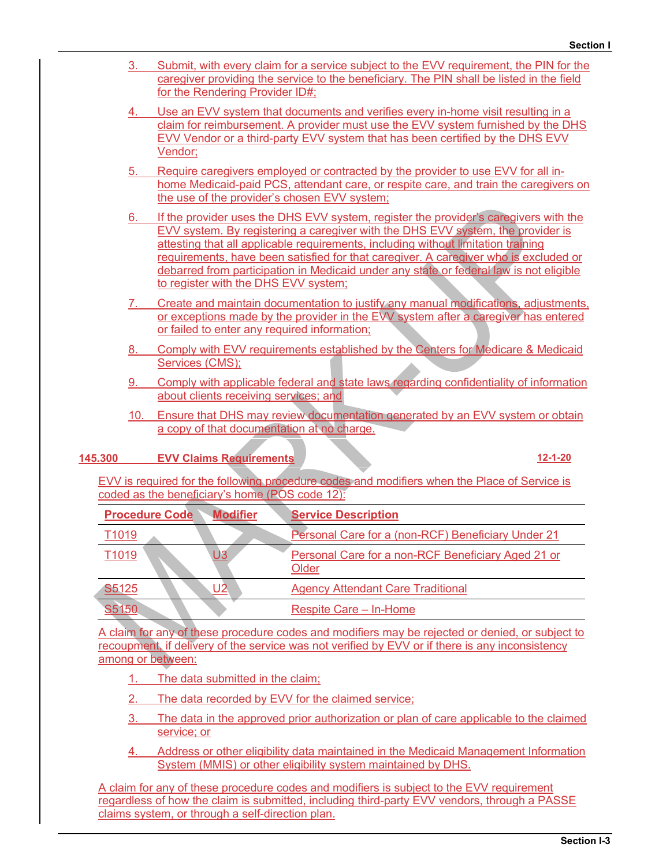|         |                   | Section I                                                                                                                                                                                                                                                                                                                                                                                                                                                                              |
|---------|-------------------|----------------------------------------------------------------------------------------------------------------------------------------------------------------------------------------------------------------------------------------------------------------------------------------------------------------------------------------------------------------------------------------------------------------------------------------------------------------------------------------|
|         | 3.                | Submit, with every claim for a service subject to the EVV requirement, the PIN for the<br>caregiver providing the service to the beneficiary. The PIN shall be listed in the field<br>for the Rendering Provider ID#;                                                                                                                                                                                                                                                                  |
|         |                   | Use an EVV system that documents and verifies every in-home visit resulting in a<br>claim for reimbursement. A provider must use the EVV system furnished by the DHS<br>EVV Vendor or a third-party EVV system that has been certified by the DHS EVV<br>Vendor;                                                                                                                                                                                                                       |
|         | 5 <sub>1</sub>    | Require caregivers employed or contracted by the provider to use EVV for all in-<br>home Medicaid-paid PCS, attendant care, or respite care, and train the caregivers on<br>the use of the provider's chosen EVV system;                                                                                                                                                                                                                                                               |
|         | 6.                | If the provider uses the DHS EVV system, register the provider's caregivers with the<br>EVV system. By registering a caregiver with the DHS EVV system, the provider is<br>attesting that all applicable requirements, including without limitation training<br>requirements, have been satisfied for that caregiver. A caregiver who is excluded or<br>debarred from participation in Medicaid under any state or federal law is not eligible<br>to register with the DHS EVV system; |
|         |                   | Create and maintain documentation to justify any manual modifications, adjustments,<br>or exceptions made by the provider in the EVV system after a caregiver has entered<br>or failed to enter any required information;                                                                                                                                                                                                                                                              |
|         | 8.                | Comply with EVV requirements established by the Centers for Medicare & Medicaid<br>Services (CMS);                                                                                                                                                                                                                                                                                                                                                                                     |
|         | 9.                | Comply with applicable federal and state laws regarding confidentiality of information<br>about clients receiving services; and                                                                                                                                                                                                                                                                                                                                                        |
|         | 10.               | Ensure that DHS may review documentation generated by an EVV system or obtain<br>a copy of that documentation at no charge.                                                                                                                                                                                                                                                                                                                                                            |
| 145.300 |                   | <b>EVV Claims Requirements</b><br>$12 - 1 - 20$                                                                                                                                                                                                                                                                                                                                                                                                                                        |
|         |                   | EVV is required for the following procedure codes and modifiers when the Place of Service is                                                                                                                                                                                                                                                                                                                                                                                           |
|         |                   | coded as the beneficiary's home (POS code 12):<br><b>Procedure Code</b><br><b>Modifier</b><br><b>Service Description</b>                                                                                                                                                                                                                                                                                                                                                               |
|         | T <sub>1019</sub> | Personal Care for a (non-RCF) Beneficiary Under 21                                                                                                                                                                                                                                                                                                                                                                                                                                     |
|         |                   |                                                                                                                                                                                                                                                                                                                                                                                                                                                                                        |

| 10.               |                                                                                                                                                                                                    | <u>Ensure that DHS may review documentation generated by an EVV system or obtain</u>                                                                |                                                    |               |
|-------------------|----------------------------------------------------------------------------------------------------------------------------------------------------------------------------------------------------|-----------------------------------------------------------------------------------------------------------------------------------------------------|----------------------------------------------------|---------------|
|                   | a copy of that documentation at no charge.                                                                                                                                                         |                                                                                                                                                     |                                                    |               |
|                   |                                                                                                                                                                                                    |                                                                                                                                                     |                                                    |               |
| .300              | <b>EVV Claims Requirements</b>                                                                                                                                                                     |                                                                                                                                                     |                                                    | $12 - 1 - 20$ |
|                   | EVV is required for the following procedure codes and modifiers when the Place of Service is                                                                                                       |                                                                                                                                                     |                                                    |               |
|                   | coded as the beneficiary's home (POS code 12):                                                                                                                                                     |                                                                                                                                                     |                                                    |               |
|                   | <b>Procedure Code</b><br><b>Modifier</b>                                                                                                                                                           | <b>Service Description</b>                                                                                                                          |                                                    |               |
| T <sub>1019</sub> |                                                                                                                                                                                                    |                                                                                                                                                     | Personal Care for a (non-RCF) Beneficiary Under 21 |               |
| T <sub>1019</sub> | U3                                                                                                                                                                                                 | <b>Older</b>                                                                                                                                        | Personal Care for a non-RCF Beneficiary Aged 21 or |               |
| S <sub>5125</sub> | U <sub>2</sub>                                                                                                                                                                                     | <b>Agency Attendant Care Traditional</b>                                                                                                            |                                                    |               |
| S5150             |                                                                                                                                                                                                    | Respite Care - In-Home                                                                                                                              |                                                    |               |
|                   | A claim for any of these procedure codes and modifiers may be rejected or denied, or subject to<br>recoupment, if delivery of the service was not verified by EVV or if there is any inconsistency |                                                                                                                                                     |                                                    |               |
|                   | among or between:                                                                                                                                                                                  |                                                                                                                                                     |                                                    |               |
|                   | The data submitted in the claim;                                                                                                                                                                   |                                                                                                                                                     |                                                    |               |
|                   |                                                                                                                                                                                                    | The data recorded by EVV for the claimed service;                                                                                                   |                                                    |               |
|                   | service; or                                                                                                                                                                                        | The data in the approved prior authorization or plan of care applicable to the claimed                                                              |                                                    |               |
|                   |                                                                                                                                                                                                    | Address or other eligibility data maintained in the Medicaid Management Information<br>System (MMIS) or other eligibility system maintained by DHS. |                                                    |               |

- 1. The data submitted in the claim;
- 
- 3. The data in the approved prior authorization or plan of care applicable to the claimed service; or
- 4. Address or other eligibility data maintained in the Medicaid Management Information System (MMIS) or other eligibility system maintained by DHS.

A claim for any of these procedure codes and modifiers is subject to the EVV requirement regardless of how the claim is submitted, including third-party EVV vendors, through a PASSE claims system, or through a self-direction plan.